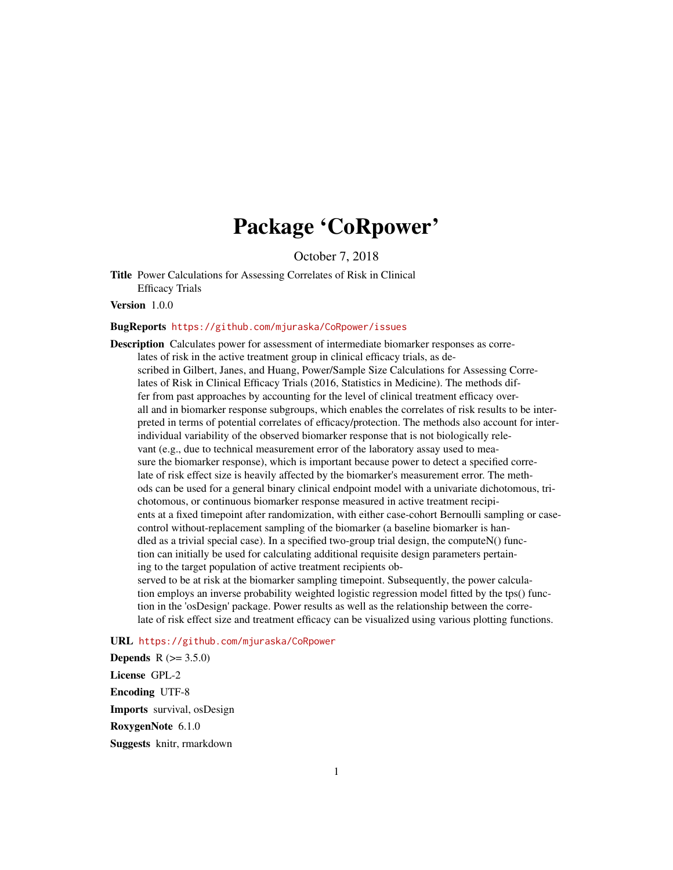## Package 'CoRpower'

October 7, 2018

Title Power Calculations for Assessing Correlates of Risk in Clinical Efficacy Trials

Version 1.0.0

#### BugReports <https://github.com/mjuraska/CoRpower/issues>

Description Calculates power for assessment of intermediate biomarker responses as correlates of risk in the active treatment group in clinical efficacy trials, as described in Gilbert, Janes, and Huang, Power/Sample Size Calculations for Assessing Correlates of Risk in Clinical Efficacy Trials (2016, Statistics in Medicine). The methods differ from past approaches by accounting for the level of clinical treatment efficacy overall and in biomarker response subgroups, which enables the correlates of risk results to be interpreted in terms of potential correlates of efficacy/protection. The methods also account for interindividual variability of the observed biomarker response that is not biologically relevant (e.g., due to technical measurement error of the laboratory assay used to measure the biomarker response), which is important because power to detect a specified correlate of risk effect size is heavily affected by the biomarker's measurement error. The methods can be used for a general binary clinical endpoint model with a univariate dichotomous, trichotomous, or continuous biomarker response measured in active treatment recipients at a fixed timepoint after randomization, with either case-cohort Bernoulli sampling or casecontrol without-replacement sampling of the biomarker (a baseline biomarker is handled as a trivial special case). In a specified two-group trial design, the compute $N()$  function can initially be used for calculating additional requisite design parameters pertaining to the target population of active treatment recipients observed to be at risk at the biomarker sampling timepoint. Subsequently, the power calculation employs an inverse probability weighted logistic regression model fitted by the tps() function in the 'osDesign' package. Power results as well as the relationship between the corre-

late of risk effect size and treatment efficacy can be visualized using various plotting functions.

### URL <https://github.com/mjuraska/CoRpower>

**Depends**  $R (= 3.5.0)$ License GPL-2 Encoding UTF-8 Imports survival, osDesign RoxygenNote 6.1.0 Suggests knitr, rmarkdown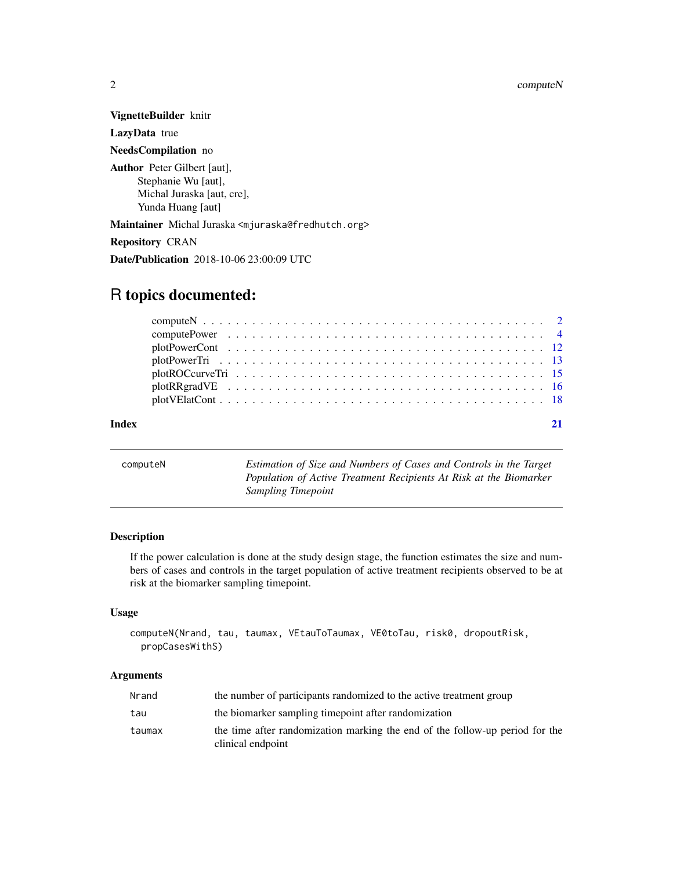VignetteBuilder knitr LazyData true

NeedsCompilation no

Author Peter Gilbert [aut], Stephanie Wu [aut], Michal Juraska [aut, cre], Yunda Huang [aut]

Maintainer Michal Juraska <mjuraska@fredhutch.org>

Repository CRAN

Date/Publication 2018-10-06 23:00:09 UTC

## R topics documented:

#### **Index** [21](#page-20-0)

<span id="page-1-1"></span>computeN *Estimation of Size and Numbers of Cases and Controls in the Target Population of Active Treatment Recipients At Risk at the Biomarker Sampling Timepoint*

#### Description

If the power calculation is done at the study design stage, the function estimates the size and numbers of cases and controls in the target population of active treatment recipients observed to be at risk at the biomarker sampling timepoint.

#### Usage

```
computeN(Nrand, tau, taumax, VEtauToTaumax, VE0toTau, risk0, dropoutRisk,
 propCasesWithS)
```
#### Arguments

| Nrand  | the number of participants randomized to the active treatment group                               |
|--------|---------------------------------------------------------------------------------------------------|
| tau    | the biomarker sampling timepoint after randomization                                              |
| taumax | the time after randomization marking the end of the follow-up period for the<br>clinical endpoint |

<span id="page-1-0"></span>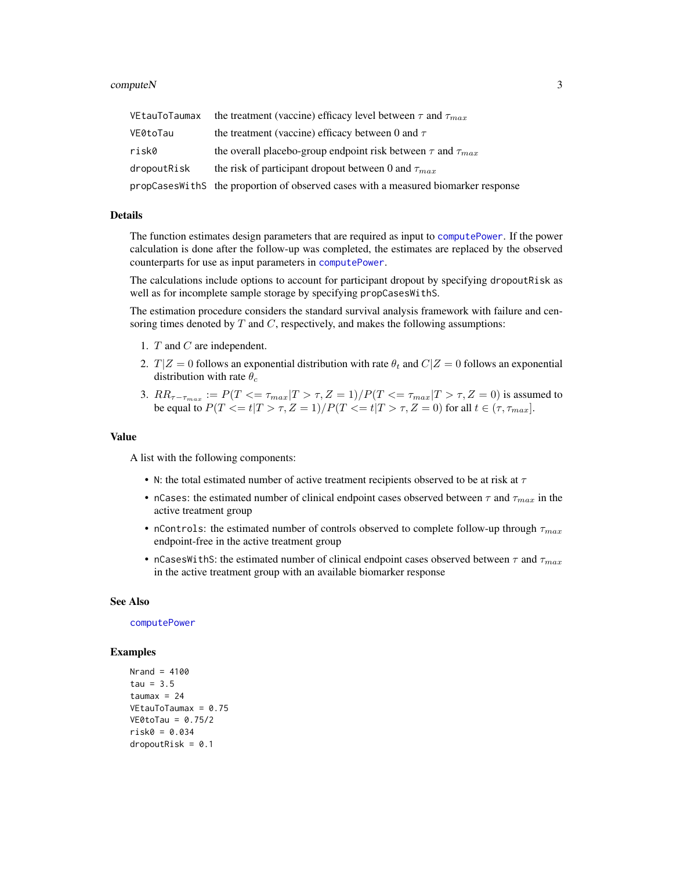#### <span id="page-2-0"></span> $\epsilon$  compute N  $\geq$  3

| VEtauToTaumax | the treatment (vaccine) efficacy level between $\tau$ and $\tau_{max}$             |
|---------------|------------------------------------------------------------------------------------|
| VE0toTau      | the treatment (vaccine) efficacy between 0 and $\tau$                              |
| risk0         | the overall placebo-group endpoint risk between $\tau$ and $\tau_{max}$            |
| dropoutRisk   | the risk of participant dropout between 0 and $\tau_{max}$                         |
|               | propCasesWithS the proportion of observed cases with a measured biomarker response |

#### Details

The function estimates design parameters that are required as input to [computePower](#page-3-1). If the power calculation is done after the follow-up was completed, the estimates are replaced by the observed counterparts for use as input parameters in [computePower](#page-3-1).

The calculations include options to account for participant dropout by specifying dropoutRisk as well as for incomplete sample storage by specifying propCasesWithS.

The estimation procedure considers the standard survival analysis framework with failure and censoring times denoted by  $T$  and  $C$ , respectively, and makes the following assumptions:

- 1. T and C are independent.
- 2.  $T|Z = 0$  follows an exponential distribution with rate  $\theta_t$  and  $C|Z = 0$  follows an exponential distribution with rate  $\theta_c$
- 3.  $RR_{\tau-\tau_{max}} := P(T \leq \tau_{max}|T > \tau, Z = 1) / P(T \leq \tau_{max}|T > \tau, Z = 0)$  is assumed to be equal to  $P(T<=t|T>\tau,Z=1)/P(T<=t|T>\tau,Z=0)$  for all  $t\in(\tau,\tau_{max}]$ .

#### Value

A list with the following components:

- N: the total estimated number of active treatment recipients observed to be at risk at  $\tau$
- nCases: the estimated number of clinical endpoint cases observed between  $\tau$  and  $\tau_{max}$  in the active treatment group
- nControls: the estimated number of controls observed to complete follow-up through  $\tau_{max}$ endpoint-free in the active treatment group
- nCasesWithS: the estimated number of clinical endpoint cases observed between  $\tau$  and  $\tau_{max}$ in the active treatment group with an available biomarker response

#### See Also

[computePower](#page-3-1)

#### Examples

```
Nrand = 4100tau = 3.5taumax = 24VEtauToTaumax = 0.75
VE0toTau = 0.75/2
risk0 = 0.034
dropoutRisk = 0.1
```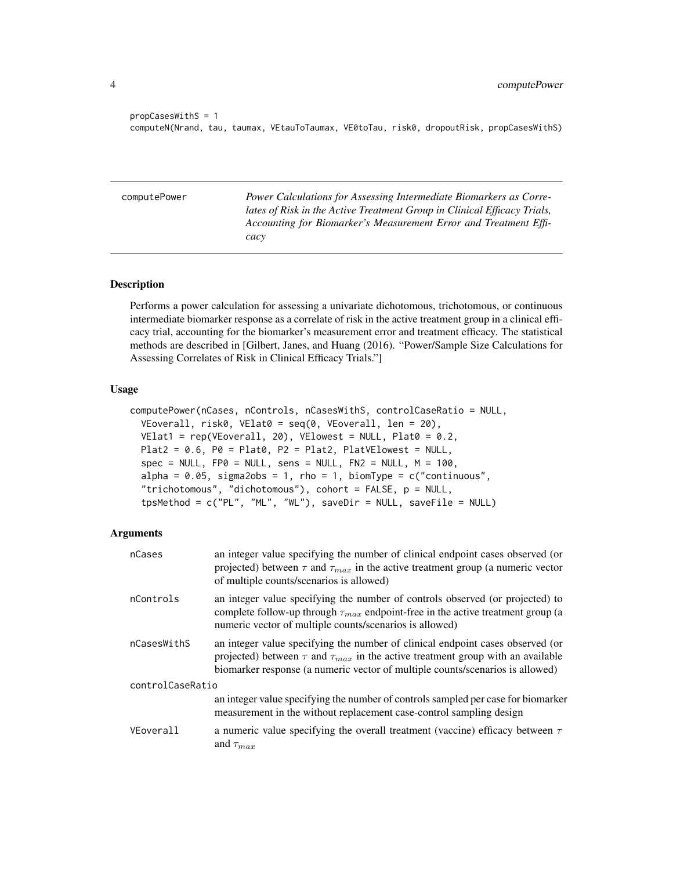```
propCasesWithS = 1
computeN(Nrand, tau, taumax, VEtauToTaumax, VE0toTau, risk0, dropoutRisk, propCasesWithS)
```
<span id="page-3-1"></span>computePower *Power Calculations for Assessing Intermediate Biomarkers as Correlates of Risk in the Active Treatment Group in Clinical Efficacy Trials, Accounting for Biomarker's Measurement Error and Treatment Efficacy*

#### Description

Performs a power calculation for assessing a univariate dichotomous, trichotomous, or continuous intermediate biomarker response as a correlate of risk in the active treatment group in a clinical efficacy trial, accounting for the biomarker's measurement error and treatment efficacy. The statistical methods are described in [Gilbert, Janes, and Huang (2016). "Power/Sample Size Calculations for Assessing Correlates of Risk in Clinical Efficacy Trials."]

#### Usage

```
computePower(nCases, nControls, nCasesWithS, controlCaseRatio = NULL,
 VEoverall, risk0, VElat0 = seq(0, VEoverall, len = 20),
 VElat1 = rep(VEoverall, 20), VElowest = NULL, Plat0 = 0.2,
 Plat2 = 0.6, P0 = Plat0, P2 = Plat2, PlatVElowest = NULL,
  spec = NULL, FP0 = NULL, sens = NULL, FN2 = NULL, M = 100,alpha = 0.05, sigma2obs = 1, rho = 1, biomType = c("continuous","trichotomous", "dichotomous"), cohort = FALSE, p = NULL,
  tpsMethod = c("PL", "ML", "WL"), saveDir = NULL, saveFile = NULL)
```
#### Arguments

| nCases           | an integer value specifying the number of clinical endpoint cases observed (or<br>projected) between $\tau$ and $\tau_{max}$ in the active treatment group (a numeric vector<br>of multiple counts/scenarios is allowed)                                      |
|------------------|---------------------------------------------------------------------------------------------------------------------------------------------------------------------------------------------------------------------------------------------------------------|
| nControls        | an integer value specifying the number of controls observed (or projected) to<br>complete follow-up through $\tau_{max}$ endpoint-free in the active treatment group (a<br>numeric vector of multiple counts/scenarios is allowed)                            |
| nCasesWithS      | an integer value specifying the number of clinical endpoint cases observed (or<br>projected) between $\tau$ and $\tau_{max}$ in the active treatment group with an available<br>biomarker response (a numeric vector of multiple counts/scenarios is allowed) |
| controlCaseRatio |                                                                                                                                                                                                                                                               |
|                  | an integer value specifying the number of controls sampled per case for biomarker<br>measurement in the without replacement case-control sampling design                                                                                                      |
| VEoverall        | a numeric value specifying the overall treatment (vaccine) efficacy between $\tau$<br>and $\tau_{max}$                                                                                                                                                        |

<span id="page-3-0"></span>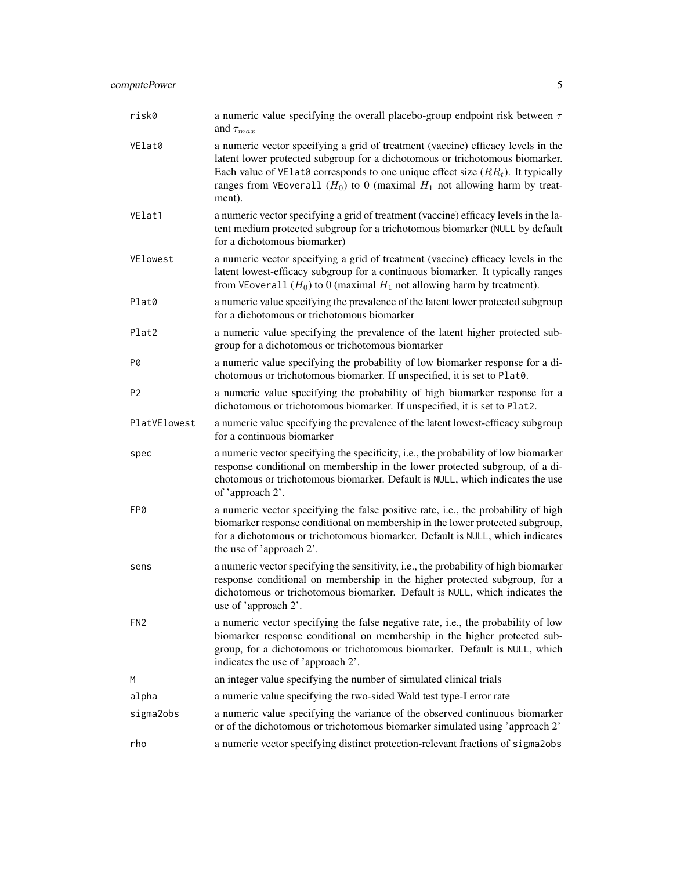| risk0           | a numeric value specifying the overall placebo-group endpoint risk between $\tau$<br>and $\tau_{max}$                                                                                                                                                                                                                                             |  |
|-----------------|---------------------------------------------------------------------------------------------------------------------------------------------------------------------------------------------------------------------------------------------------------------------------------------------------------------------------------------------------|--|
| VElat0          | a numeric vector specifying a grid of treatment (vaccine) efficacy levels in the<br>latent lower protected subgroup for a dichotomous or trichotomous biomarker.<br>Each value of VE1at0 corresponds to one unique effect size $(RR_t)$ . It typically<br>ranges from VEoverall $(H_0)$ to 0 (maximal $H_1$ not allowing harm by treat-<br>ment). |  |
| VElat1          | a numeric vector specifying a grid of treatment (vaccine) efficacy levels in the la-<br>tent medium protected subgroup for a trichotomous biomarker (NULL by default<br>for a dichotomous biomarker)                                                                                                                                              |  |
| VElowest        | a numeric vector specifying a grid of treatment (vaccine) efficacy levels in the<br>latent lowest-efficacy subgroup for a continuous biomarker. It typically ranges<br>from VEoverall $(H_0)$ to 0 (maximal $H_1$ not allowing harm by treatment).                                                                                                |  |
| Plat0           | a numeric value specifying the prevalence of the latent lower protected subgroup<br>for a dichotomous or trichotomous biomarker                                                                                                                                                                                                                   |  |
| Plat2           | a numeric value specifying the prevalence of the latent higher protected sub-<br>group for a dichotomous or trichotomous biomarker                                                                                                                                                                                                                |  |
| P0              | a numeric value specifying the probability of low biomarker response for a di-<br>chotomous or trichotomous biomarker. If unspecified, it is set to Plat0.                                                                                                                                                                                        |  |
| P <sub>2</sub>  | a numeric value specifying the probability of high biomarker response for a<br>dichotomous or trichotomous biomarker. If unspecified, it is set to Plat2.                                                                                                                                                                                         |  |
| PlatVElowest    | a numeric value specifying the prevalence of the latent lowest-efficacy subgroup<br>for a continuous biomarker                                                                                                                                                                                                                                    |  |
| spec            | a numeric vector specifying the specificity, i.e., the probability of low biomarker<br>response conditional on membership in the lower protected subgroup, of a di-<br>chotomous or trichotomous biomarker. Default is NULL, which indicates the use<br>of 'approach 2'.                                                                          |  |
| FP0             | a numeric vector specifying the false positive rate, i.e., the probability of high<br>biomarker response conditional on membership in the lower protected subgroup,<br>for a dichotomous or trichotomous biomarker. Default is NULL, which indicates<br>the use of 'approach 2'.                                                                  |  |
| sens            | a numeric vector specifying the sensitivity, i.e., the probability of high biomarker<br>response conditional on membership in the higher protected subgroup, for a<br>dichotomous or trichotomous biomarker. Default is NULL, which indicates the<br>use of 'approach 2'.                                                                         |  |
| FN <sub>2</sub> | a numeric vector specifying the false negative rate, <i>i.e.</i> , the probability of low<br>biomarker response conditional on membership in the higher protected sub-<br>group, for a dichotomous or trichotomous biomarker. Default is NULL, which<br>indicates the use of 'approach 2'.                                                        |  |
| M               | an integer value specifying the number of simulated clinical trials                                                                                                                                                                                                                                                                               |  |
| alpha           | a numeric value specifying the two-sided Wald test type-I error rate                                                                                                                                                                                                                                                                              |  |
| sigma2obs       | a numeric value specifying the variance of the observed continuous biomarker<br>or of the dichotomous or trichotomous biomarker simulated using 'approach 2'                                                                                                                                                                                      |  |
| rho             | a numeric vector specifying distinct protection-relevant fractions of sigma2obs                                                                                                                                                                                                                                                                   |  |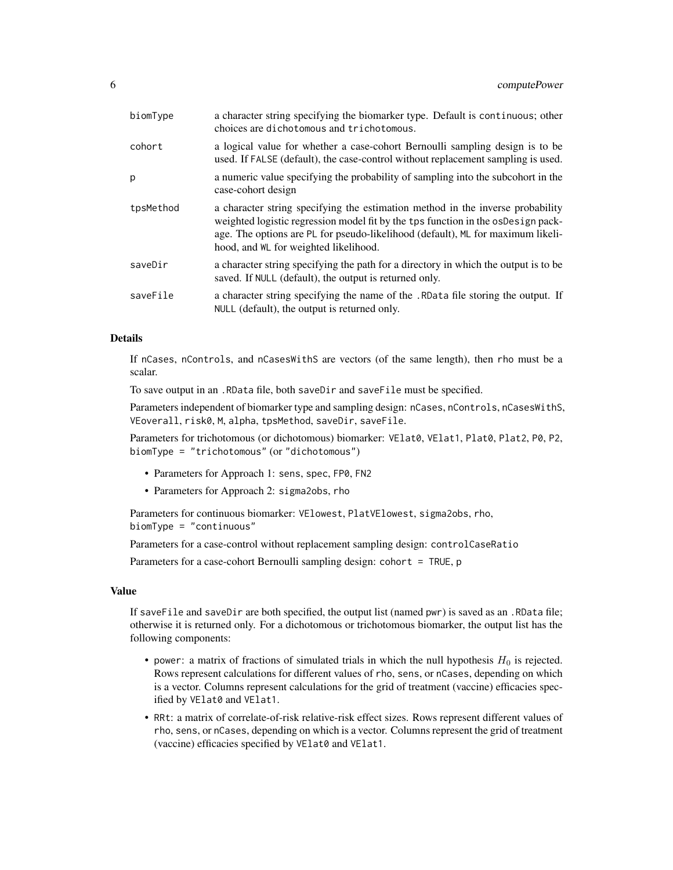| biomType  | a character string specifying the biomarker type. Default is continuous; other<br>choices are dichotomous and trichotomous.                                                                                                                                                                      |
|-----------|--------------------------------------------------------------------------------------------------------------------------------------------------------------------------------------------------------------------------------------------------------------------------------------------------|
| cohort    | a logical value for whether a case-cohort Bernoulli sampling design is to be<br>used. If FALSE (default), the case-control without replacement sampling is used.                                                                                                                                 |
| p         | a numeric value specifying the probability of sampling into the subcohort in the<br>case-cohort design                                                                                                                                                                                           |
| tpsMethod | a character string specifying the estimation method in the inverse probability<br>weighted logistic regression model fit by the tps function in the osDesign pack-<br>age. The options are PL for pseudo-likelihood (default), ML for maximum likeli-<br>hood, and $WL$ for weighted likelihood. |
| saveDir   | a character string specifying the path for a directory in which the output is to be<br>saved. If NULL (default), the output is returned only.                                                                                                                                                    |
| saveFile  | a character string specifying the name of the . RData file storing the output. If<br>NULL (default), the output is returned only.                                                                                                                                                                |

#### Details

If nCases, nControls, and nCasesWithS are vectors (of the same length), then rho must be a scalar.

To save output in an .RData file, both saveDir and saveFile must be specified.

Parameters independent of biomarker type and sampling design: nCases, nControls, nCasesWithS, VEoverall, risk0, M, alpha, tpsMethod, saveDir, saveFile.

Parameters for trichotomous (or dichotomous) biomarker: VElat0, VElat1, Plat0, Plat2, P0, P2, biomType = "trichotomous" (or "dichotomous")

- Parameters for Approach 1: sens, spec, FP0, FN2
- Parameters for Approach 2: sigma2obs, rho

Parameters for continuous biomarker: VElowest, PlatVElowest, sigma2obs, rho, biomType = "continuous"

Parameters for a case-control without replacement sampling design: controlCaseRatio

Parameters for a case-cohort Bernoulli sampling design: cohort = TRUE, p

#### Value

If saveFile and saveDir are both specified, the output list (named pwr) is saved as an .RData file; otherwise it is returned only. For a dichotomous or trichotomous biomarker, the output list has the following components:

- power: a matrix of fractions of simulated trials in which the null hypothesis  $H_0$  is rejected. Rows represent calculations for different values of rho, sens, or nCases, depending on which is a vector. Columns represent calculations for the grid of treatment (vaccine) efficacies specified by VElat0 and VElat1.
- RRt: a matrix of correlate-of-risk relative-risk effect sizes. Rows represent different values of rho, sens, or nCases, depending on which is a vector. Columns represent the grid of treatment (vaccine) efficacies specified by VElat0 and VElat1.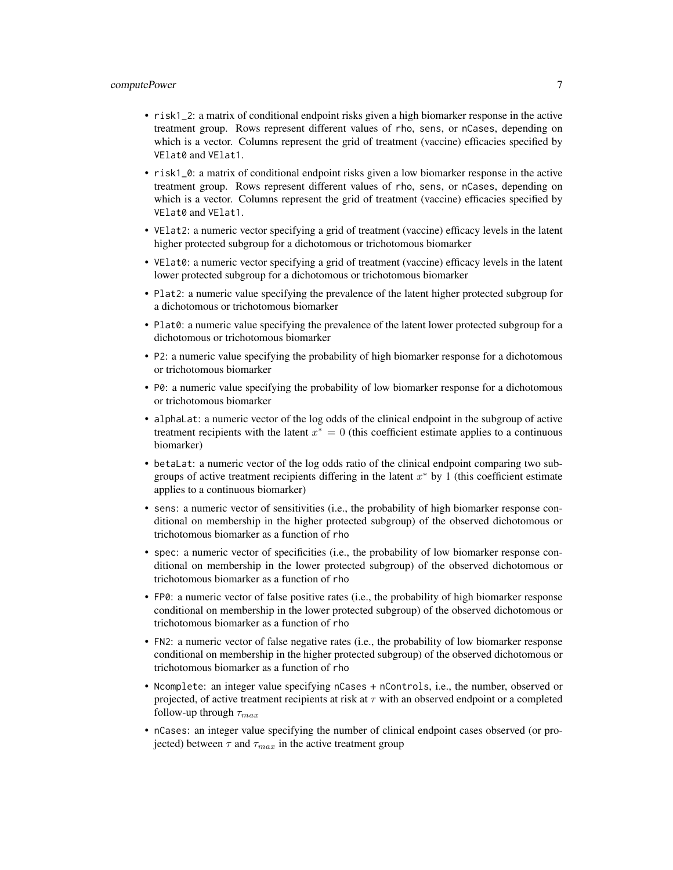#### computePower 7

- risk1\_2: a matrix of conditional endpoint risks given a high biomarker response in the active treatment group. Rows represent different values of rho, sens, or nCases, depending on which is a vector. Columns represent the grid of treatment (vaccine) efficacies specified by VElat0 and VElat1.
- risk1\_0: a matrix of conditional endpoint risks given a low biomarker response in the active treatment group. Rows represent different values of rho, sens, or nCases, depending on which is a vector. Columns represent the grid of treatment (vaccine) efficacies specified by VElat0 and VElat1.
- VElat2: a numeric vector specifying a grid of treatment (vaccine) efficacy levels in the latent higher protected subgroup for a dichotomous or trichotomous biomarker
- VElat0: a numeric vector specifying a grid of treatment (vaccine) efficacy levels in the latent lower protected subgroup for a dichotomous or trichotomous biomarker
- Plat2: a numeric value specifying the prevalence of the latent higher protected subgroup for a dichotomous or trichotomous biomarker
- Plat0: a numeric value specifying the prevalence of the latent lower protected subgroup for a dichotomous or trichotomous biomarker
- P2: a numeric value specifying the probability of high biomarker response for a dichotomous or trichotomous biomarker
- P0: a numeric value specifying the probability of low biomarker response for a dichotomous or trichotomous biomarker
- alphaLat: a numeric vector of the log odds of the clinical endpoint in the subgroup of active treatment recipients with the latent  $x^* = 0$  (this coefficient estimate applies to a continuous biomarker)
- betaLat: a numeric vector of the log odds ratio of the clinical endpoint comparing two subgroups of active treatment recipients differing in the latent  $x^*$  by 1 (this coefficient estimate applies to a continuous biomarker)
- sens: a numeric vector of sensitivities (i.e., the probability of high biomarker response conditional on membership in the higher protected subgroup) of the observed dichotomous or trichotomous biomarker as a function of rho
- spec: a numeric vector of specificities (i.e., the probability of low biomarker response conditional on membership in the lower protected subgroup) of the observed dichotomous or trichotomous biomarker as a function of rho
- FP0: a numeric vector of false positive rates (i.e., the probability of high biomarker response conditional on membership in the lower protected subgroup) of the observed dichotomous or trichotomous biomarker as a function of rho
- FN2: a numeric vector of false negative rates (i.e., the probability of low biomarker response conditional on membership in the higher protected subgroup) of the observed dichotomous or trichotomous biomarker as a function of rho
- Ncomplete: an integer value specifying nCases + nControls, i.e., the number, observed or projected, of active treatment recipients at risk at  $\tau$  with an observed endpoint or a completed follow-up through  $\tau_{max}$
- nCases: an integer value specifying the number of clinical endpoint cases observed (or projected) between  $\tau$  and  $\tau_{max}$  in the active treatment group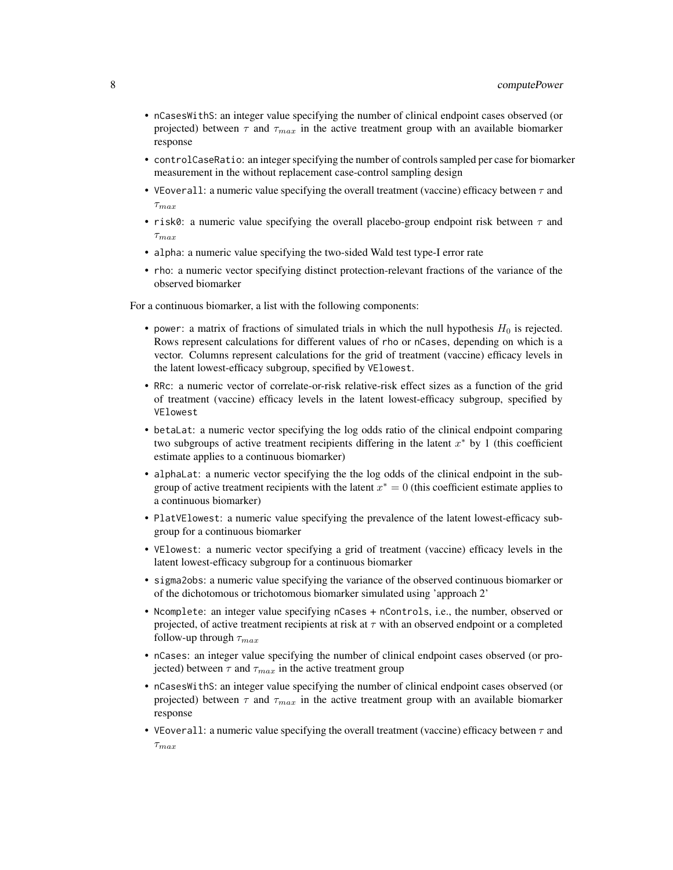- nCasesWithS: an integer value specifying the number of clinical endpoint cases observed (or projected) between  $\tau$  and  $\tau_{max}$  in the active treatment group with an available biomarker response
- controlCaseRatio: an integer specifying the number of controls sampled per case for biomarker measurement in the without replacement case-control sampling design
- VEoverall: a numeric value specifying the overall treatment (vaccine) efficacy between  $\tau$  and  $\tau_{max}$
- risk0: a numeric value specifying the overall placebo-group endpoint risk between  $\tau$  and  $\tau_{max}$
- alpha: a numeric value specifying the two-sided Wald test type-I error rate
- rho: a numeric vector specifying distinct protection-relevant fractions of the variance of the observed biomarker

For a continuous biomarker, a list with the following components:

- power: a matrix of fractions of simulated trials in which the null hypothesis  $H_0$  is rejected. Rows represent calculations for different values of rho or nCases, depending on which is a vector. Columns represent calculations for the grid of treatment (vaccine) efficacy levels in the latent lowest-efficacy subgroup, specified by VElowest.
- RRc: a numeric vector of correlate-or-risk relative-risk effect sizes as a function of the grid of treatment (vaccine) efficacy levels in the latent lowest-efficacy subgroup, specified by VElowest
- betaLat: a numeric vector specifying the log odds ratio of the clinical endpoint comparing two subgroups of active treatment recipients differing in the latent  $x^*$  by 1 (this coefficient estimate applies to a continuous biomarker)
- alphaLat: a numeric vector specifying the the log odds of the clinical endpoint in the subgroup of active treatment recipients with the latent  $x^* = 0$  (this coefficient estimate applies to a continuous biomarker)
- PlatVElowest: a numeric value specifying the prevalence of the latent lowest-efficacy subgroup for a continuous biomarker
- VElowest: a numeric vector specifying a grid of treatment (vaccine) efficacy levels in the latent lowest-efficacy subgroup for a continuous biomarker
- sigma2obs: a numeric value specifying the variance of the observed continuous biomarker or of the dichotomous or trichotomous biomarker simulated using 'approach 2'
- Ncomplete: an integer value specifying nCases + nControls, i.e., the number, observed or projected, of active treatment recipients at risk at  $\tau$  with an observed endpoint or a completed follow-up through  $\tau_{max}$
- nCases: an integer value specifying the number of clinical endpoint cases observed (or projected) between  $\tau$  and  $\tau_{max}$  in the active treatment group
- nCasesWithS: an integer value specifying the number of clinical endpoint cases observed (or projected) between  $\tau$  and  $\tau_{max}$  in the active treatment group with an available biomarker response
- VEoverall: a numeric value specifying the overall treatment (vaccine) efficacy between  $\tau$  and  $\tau_{max}$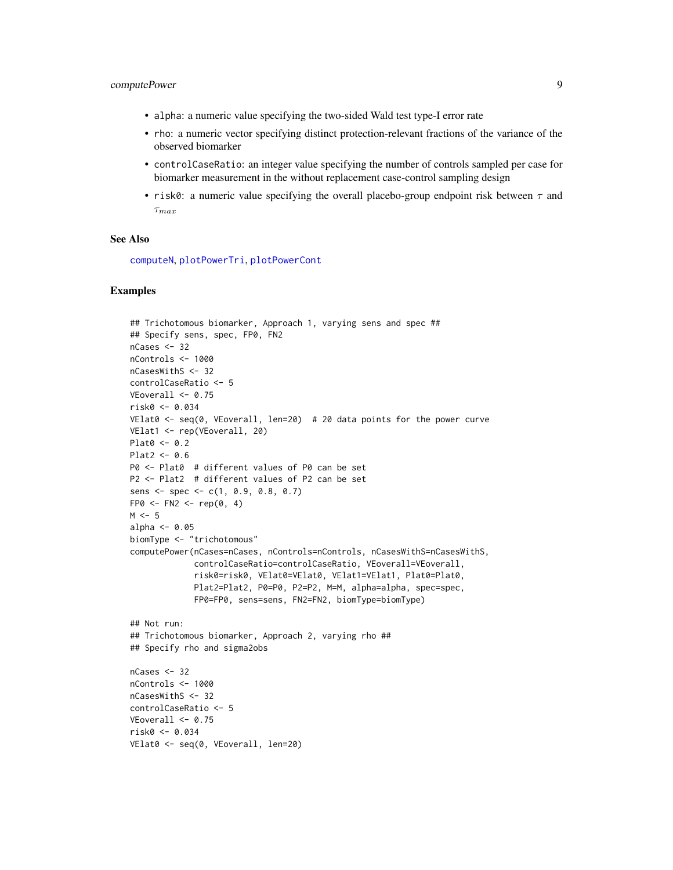#### <span id="page-8-0"></span>computePower 9

- alpha: a numeric value specifying the two-sided Wald test type-I error rate
- rho: a numeric vector specifying distinct protection-relevant fractions of the variance of the observed biomarker
- controlCaseRatio: an integer value specifying the number of controls sampled per case for biomarker measurement in the without replacement case-control sampling design
- risk0: a numeric value specifying the overall placebo-group endpoint risk between  $\tau$  and  $\tau_{max}$

#### See Also

[computeN](#page-1-1), [plotPowerTri](#page-12-1), [plotPowerCont](#page-11-1)

#### Examples

```
## Trichotomous biomarker, Approach 1, varying sens and spec ##
## Specify sens, spec, FP0, FN2
nCases <- 32
nControls <- 1000
nCasesWithS <- 32
controlCaseRatio <- 5
VEoverall \leq 0.75risk0 <- 0.034
VElat0 <- seq(0, VEoverall, len=20) # 20 data points for the power curve
VElat1 <- rep(VEoverall, 20)
Plat0 < -0.2Plat2 < -0.6P0 <- Plat0 # different values of P0 can be set
P2 <- Plat2 # different values of P2 can be set
sens <- spec <- c(1, 0.9, 0.8, 0.7)
FP@ \leftarrow FN2 \leftarrow rep(0, 4)M < -5alpha <-0.05biomType <- "trichotomous"
computePower(nCases=nCases, nControls=nControls, nCasesWithS=nCasesWithS,
             controlCaseRatio=controlCaseRatio, VEoverall=VEoverall,
             risk0=risk0, VElat0=VElat0, VElat1=VElat1, Plat0=Plat0,
             Plat2=Plat2, P0=P0, P2=P2, M=M, alpha=alpha, spec=spec,
             FP0=FP0, sens=sens, FN2=FN2, biomType=biomType)
## Not run:
## Trichotomous biomarker, Approach 2, varying rho ##
## Specify rho and sigma2obs
nCases <- 32
nControls <- 1000
nCasesWithS <- 32
controlCaseRatio <- 5
VEoverall <- 0.75
risk0 <- 0.034
VElat0 <- seq(0, VEoverall, len=20)
```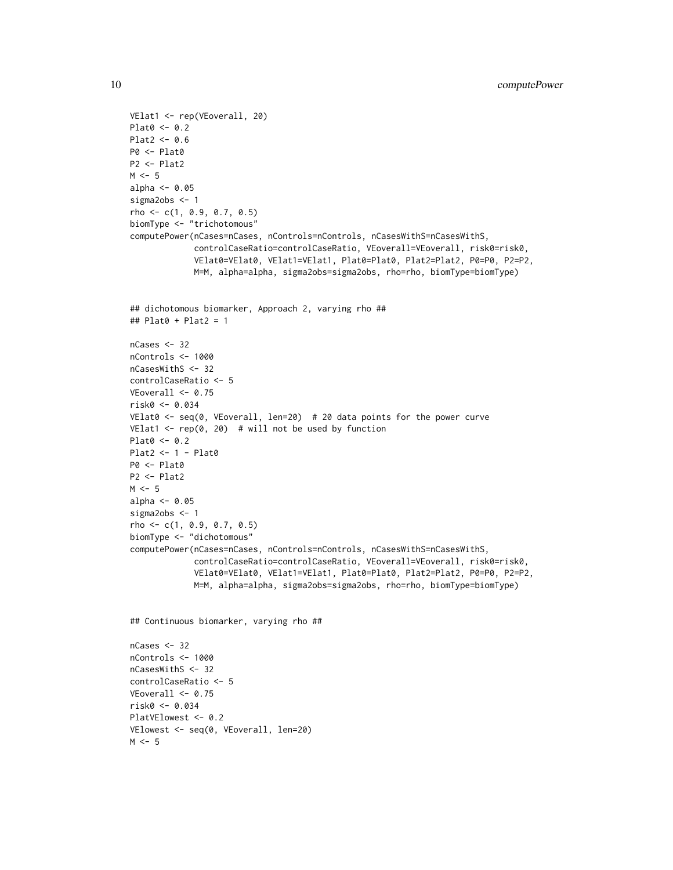```
VElat1 <- rep(VEoverall, 20)
Plat0 < -0.2Plat2 < -0.6P0 <- Plat0
P2 <- Plat2
M < -5alpha <- 0.05
sigma2obs <- 1
rho \leq -c(1, 0.9, 0.7, 0.5)biomType <- "trichotomous"
computePower(nCases=nCases, nControls=nControls, nCasesWithS=nCasesWithS,
             controlCaseRatio=controlCaseRatio, VEoverall=VEoverall, risk0=risk0,
             VElat0=VElat0, VElat1=VElat1, Plat0=Plat0, Plat2=Plat2, P0=P0, P2=P2,
             M=M, alpha=alpha, sigma2obs=sigma2obs, rho=rho, biomType=biomType)
## dichotomous biomarker, Approach 2, varying rho ##
## Plat0 + Plat2 = 1
nCases <- 32
nControls <- 1000
nCasesWithS <- 32
controlCaseRatio <- 5
VEoverall < -0.75risk0 <- 0.034
VElat0 <- seq(0, VEoverall, len=20) # 20 data points for the power curve
VElat1 \leq rep(0, 20) # will not be used by function
Plat0 <- 0.2
Plat2 <- 1 - Plat0
P0 <- Plat0
P2 <- Plat2
M < -5alpha <- 0.05
sigma2obs <- 1
rho <- c(1, 0.9, 0.7, 0.5)
biomType <- "dichotomous"
computePower(nCases=nCases, nControls=nControls, nCasesWithS=nCasesWithS,
             controlCaseRatio=controlCaseRatio, VEoverall=VEoverall, risk0=risk0,
             VElat0=VElat0, VElat1=VElat1, Plat0=Plat0, Plat2=Plat2, P0=P0, P2=P2,
             M=M, alpha=alpha, sigma2obs=sigma2obs, rho=rho, biomType=biomType)
## Continuous biomarker, varying rho ##
nCase < -32nControls <- 1000
nCasesWithS <- 32
controlCaseRatio <- 5
VEoverall \leq 0.75risk0 <- 0.034
PlatVElowest <- 0.2
VElowest <- seq(0, VEoverall, len=20)
M < -5
```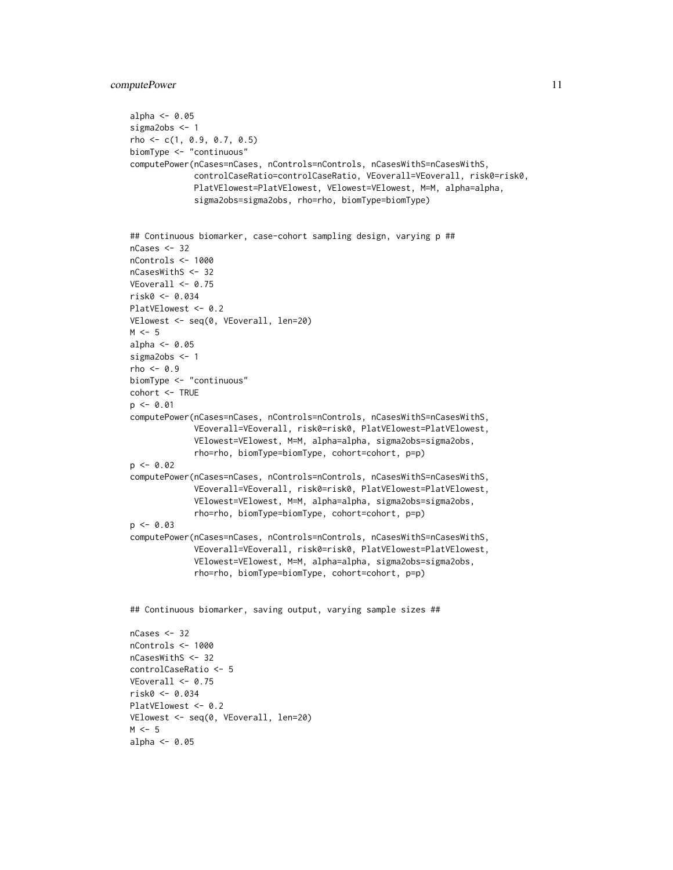```
computePower 11
```
 $M \le -5$ alpha  $<-$  0.05

```
alpha <- 0.05
sigma2obs <- 1
rho <- c(1, 0.9, 0.7, 0.5)
biomType <- "continuous"
computePower(nCases=nCases, nControls=nControls, nCasesWithS=nCasesWithS,
             controlCaseRatio=controlCaseRatio, VEoverall=VEoverall, risk0=risk0,
             PlatVElowest=PlatVElowest, VElowest=VElowest, M=M, alpha=alpha,
             sigma2obs=sigma2obs, rho=rho, biomType=biomType)
## Continuous biomarker, case-cohort sampling design, varying p ##
nCases <- 32
nControls <- 1000
nCasesWithS <- 32
VEoverall \leq 0.75risk0 <- 0.034
PlatVElowest <- 0.2
VElowest <- seq(0, VEoverall, len=20)
M < -5alpha <- 0.05
sigma2obs <- 1
rho <-0.9biomType <- "continuous"
cohort <- TRUE
p \le -0.01computePower(nCases=nCases, nControls=nControls, nCasesWithS=nCasesWithS,
             VEoverall=VEoverall, risk0=risk0, PlatVElowest=PlatVElowest,
             VElowest=VElowest, M=M, alpha=alpha, sigma2obs=sigma2obs,
             rho=rho, biomType=biomType, cohort=cohort, p=p)
p \leftarrow 0.02computePower(nCases=nCases, nControls=nControls, nCasesWithS=nCasesWithS,
             VEoverall=VEoverall, risk0=risk0, PlatVElowest=PlatVElowest,
             VElowest=VElowest, M=M, alpha=alpha, sigma2obs=sigma2obs,
             rho=rho, biomType=biomType, cohort=cohort, p=p)
p \leftarrow 0.03computePower(nCases=nCases, nControls=nControls, nCasesWithS=nCasesWithS,
             VEoverall=VEoverall, risk0=risk0, PlatVElowest=PlatVElowest,
             VElowest=VElowest, M=M, alpha=alpha, sigma2obs=sigma2obs,
             rho=rho, biomType=biomType, cohort=cohort, p=p)
## Continuous biomarker, saving output, varying sample sizes ##
nCases < -32nControls <- 1000
nCasesWithS <- 32
controlCaseRatio <- 5
VEoverall < -0.75risk0 <- 0.034
PlatVElowest <- 0.2
VElowest <- seq(0, VEoverall, len=20)
```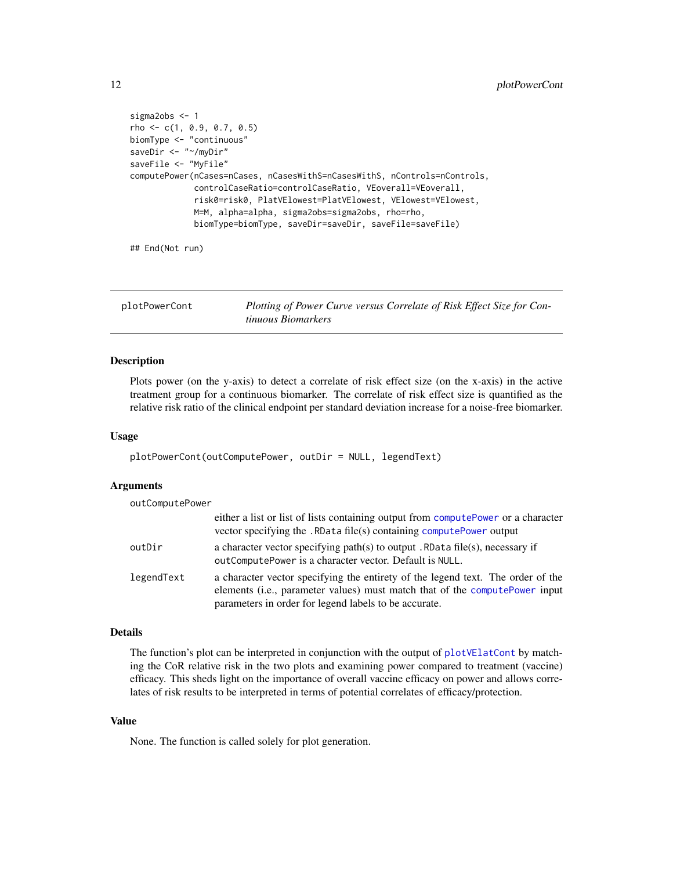```
sigma2obs <- 1
rho <- c(1, 0.9, 0.7, 0.5)
biomType <- "continuous"
saveDir <- "~/myDir"
saveFile <- "MyFile"
computePower(nCases=nCases, nCasesWithS=nCasesWithS, nControls=nControls,
             controlCaseRatio=controlCaseRatio, VEoverall=VEoverall,
             risk0=risk0, PlatVElowest=PlatVElowest, VElowest=VElowest,
             M=M, alpha=alpha, sigma2obs=sigma2obs, rho=rho,
             biomType=biomType, saveDir=saveDir, saveFile=saveFile)
```
## End(Not run)

<span id="page-11-1"></span>

| plotPowerCont | Plotting of Power Curve versus Correlate of Risk Effect Size for Con- |
|---------------|-----------------------------------------------------------------------|
|               | tinuous Biomarkers                                                    |

#### Description

Plots power (on the y-axis) to detect a correlate of risk effect size (on the x-axis) in the active treatment group for a continuous biomarker. The correlate of risk effect size is quantified as the relative risk ratio of the clinical endpoint per standard deviation increase for a noise-free biomarker.

#### Usage

plotPowerCont(outComputePower, outDir = NULL, legendText)

#### Arguments

| outComputePower |                                                                                                                                                                                                                         |
|-----------------|-------------------------------------------------------------------------------------------------------------------------------------------------------------------------------------------------------------------------|
|                 | either a list or list of lists containing output from computePower or a character<br>vector specifying the . RData file(s) containing computePower output                                                               |
| outDir          | a character vector specifying path(s) to output . RData file(s), necessary if<br>out Compute Power is a character vector. Default is NULL.                                                                              |
| legendText      | a character vector specifying the entirety of the legend text. The order of the<br>elements (i.e., parameter values) must match that of the computePower input<br>parameters in order for legend labels to be accurate. |

#### Details

The function's plot can be interpreted in conjunction with the output of [plotVElatCont](#page-17-1) by matching the CoR relative risk in the two plots and examining power compared to treatment (vaccine) efficacy. This sheds light on the importance of overall vaccine efficacy on power and allows correlates of risk results to be interpreted in terms of potential correlates of efficacy/protection.

#### Value

None. The function is called solely for plot generation.

<span id="page-11-0"></span>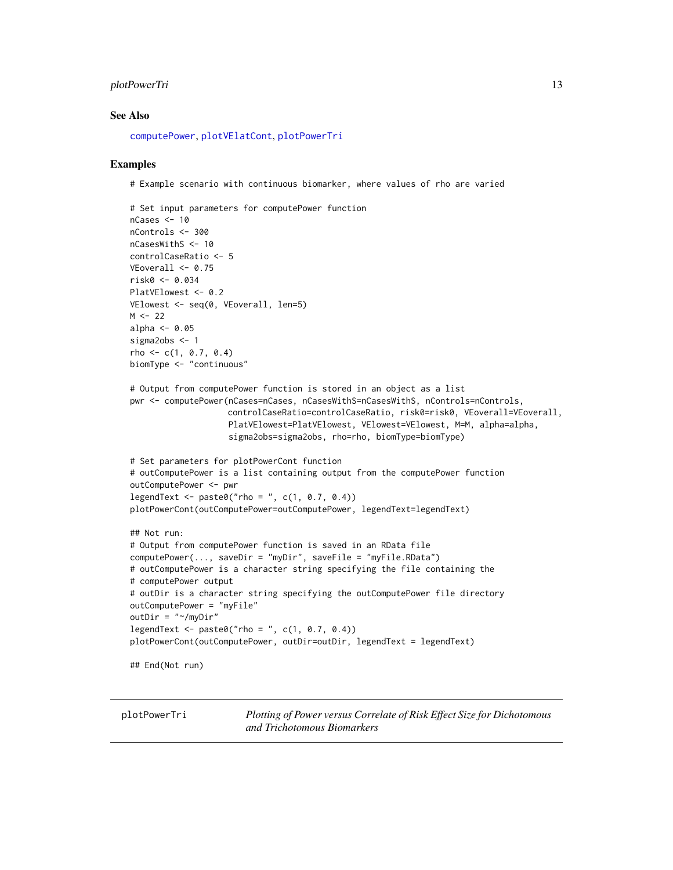#### <span id="page-12-0"></span>plotPowerTri 13

#### See Also

[computePower](#page-3-1), [plotVElatCont](#page-17-1), [plotPowerTri](#page-12-1)

#### Examples

# Example scenario with continuous biomarker, where values of rho are varied

```
# Set input parameters for computePower function
nCases <- 10
nControls <- 300
nCasesWithS <- 10
controlCaseRatio <- 5
VEoverall \leq 0.75risk0 <- 0.034
PlatVElowest <- 0.2
VElowest <- seq(0, VEoverall, len=5)
M < -22alpha <-0.05sigma2obs <- 1
rho \leftarrow c(1, 0.7, 0.4)biomType <- "continuous"
# Output from computePower function is stored in an object as a list
pwr <- computePower(nCases=nCases, nCasesWithS=nCasesWithS, nControls=nControls,
                    controlCaseRatio=controlCaseRatio, risk0=risk0, VEoverall=VEoverall,
                    PlatVElowest=PlatVElowest, VElowest=VElowest, M=M, alpha=alpha,
                    sigma2obs=sigma2obs, rho=rho, biomType=biomType)
# Set parameters for plotPowerCont function
# outComputePower is a list containing output from the computePower function
outComputePower <- pwr
legent < -</math> paste0("rho = ", c(1, 0.7, 0.4))plotPowerCont(outComputePower=outComputePower, legendText=legendText)
## Not run:
# Output from computePower function is saved in an RData file
computePower(..., saveDir = "myDir", saveFile = "myFile.RData")
# outComputePower is a character string specifying the file containing the
# computePower output
# outDir is a character string specifying the outComputePower file directory
outComputePower = "myFile"
outDir = "~/myDir"
legent < - paste0("rho = ", c(1, 0.7, 0.4))
plotPowerCont(outComputePower, outDir=outDir, legendText = legendText)
## End(Not run)
```
<span id="page-12-1"></span>plotPowerTri *Plotting of Power versus Correlate of Risk Effect Size for Dichotomous and Trichotomous Biomarkers*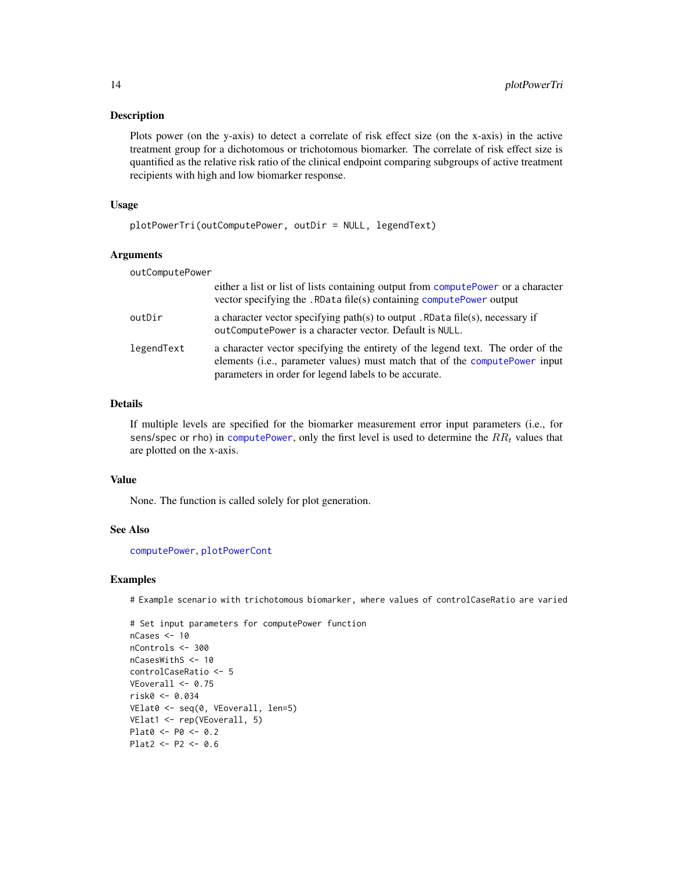#### <span id="page-13-0"></span>Description

Plots power (on the y-axis) to detect a correlate of risk effect size (on the x-axis) in the active treatment group for a dichotomous or trichotomous biomarker. The correlate of risk effect size is quantified as the relative risk ratio of the clinical endpoint comparing subgroups of active treatment recipients with high and low biomarker response.

#### Usage

```
plotPowerTri(outComputePower, outDir = NULL, legendText)
```
#### Arguments

| outComputePower |                                                                                                                                                                                                                         |
|-----------------|-------------------------------------------------------------------------------------------------------------------------------------------------------------------------------------------------------------------------|
|                 | either a list or list of lists containing output from computePower or a character<br>vector specifying the . RData file(s) containing compute Power output                                                              |
| outDir          | a character vector specifying path(s) to output . RData file(s), necessary if<br>outComputePower is a character vector. Default is NULL.                                                                                |
| legendText      | a character vector specifying the entirety of the legend text. The order of the<br>elements (i.e., parameter values) must match that of the computePower input<br>parameters in order for legend labels to be accurate. |

#### Details

If multiple levels are specified for the biomarker measurement error input parameters (i.e., for sens/spec or rho) in [computePower](#page-3-1), only the first level is used to determine the  $RR<sub>t</sub>$  values that are plotted on the x-axis.

#### Value

None. The function is called solely for plot generation.

#### See Also

[computePower](#page-3-1), [plotPowerCont](#page-11-1)

#### Examples

# Example scenario with trichotomous biomarker, where values of controlCaseRatio are varied

```
# Set input parameters for computePower function
nCases <- 10
nControls <- 300
nCasesWithS <- 10
controlCaseRatio <- 5
VEoverall <- 0.75
risk0 <- 0.034
VElat0 <- seq(0, VEoverall, len=5)
VElat1 <- rep(VEoverall, 5)
Plat0 <- P0 <- 0.2
Plat2 <- P2 <- 0.6
```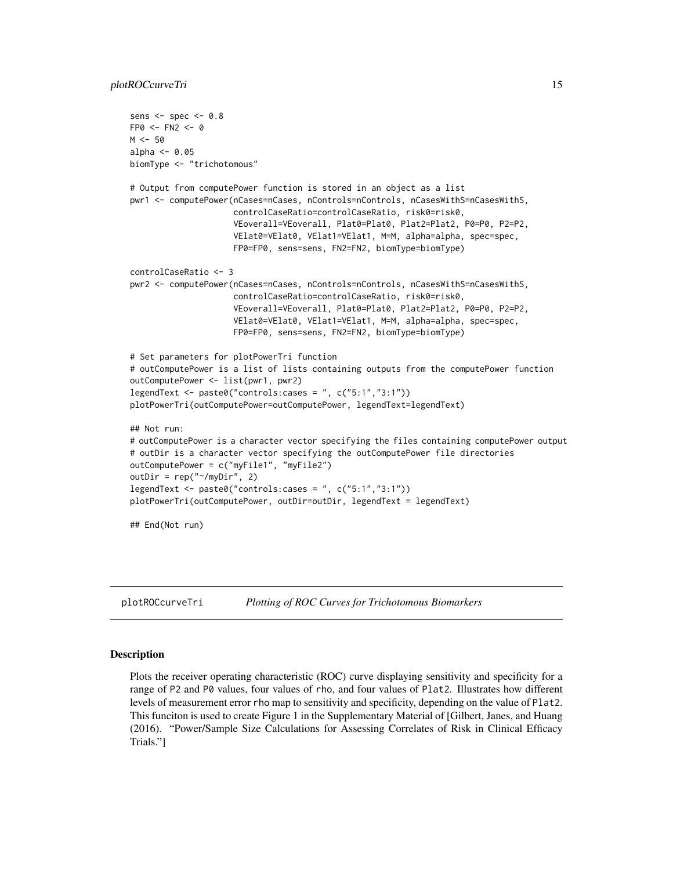```
sens <- spec <- 0.8
FPO < - FN2 < - 0M < -50alpha \leq -0.05biomType <- "trichotomous"
# Output from computePower function is stored in an object as a list
pwr1 <- computePower(nCases=nCases, nControls=nControls, nCasesWithS=nCasesWithS,
                     controlCaseRatio=controlCaseRatio, risk0=risk0,
                     VEoverall=VEoverall, Plat0=Plat0, Plat2=Plat2, P0=P0, P2=P2,
                     VElat0=VElat0, VElat1=VElat1, M=M, alpha=alpha, spec=spec,
                     FP0=FP0, sens=sens, FN2=FN2, biomType=biomType)
controlCaseRatio <- 3
pwr2 <- computePower(nCases=nCases, nControls=nControls, nCasesWithS=nCasesWithS,
                     controlCaseRatio=controlCaseRatio, risk0=risk0,
                     VEoverall=VEoverall, Plat0=Plat0, Plat2=Plat2, P0=P0, P2=P2,
                     VElat0=VElat0, VElat1=VElat1, M=M, alpha=alpha, spec=spec,
                     FP0=FP0, sens=sens, FN2=FN2, biomType=biomType)
# Set parameters for plotPowerTri function
# outComputePower is a list of lists containing outputs from the computePower function
outComputePower <- list(pwr1, pwr2)
legendText <- paste0("controls:cases = ", c("5:1","3:1"))
plotPowerTri(outComputePower=outComputePower, legendText=legendText)
## Not run:
# outComputePower is a character vector specifying the files containing computePower output
# outDir is a character vector specifying the outComputePower file directories
outComputePower = c("myFile1", "myFile2")
outDir = rep("~/myDir", 2)
legendText <- paste0("controls:cases = ", c("5:1","3:1"))
plotPowerTri(outComputePower, outDir=outDir, legendText = legendText)
## End(Not run)
```
plotROCcurveTri *Plotting of ROC Curves for Trichotomous Biomarkers*

#### Description

Plots the receiver operating characteristic (ROC) curve displaying sensitivity and specificity for a range of P2 and P0 values, four values of rho, and four values of Plat2. Illustrates how different levels of measurement error rho map to sensitivity and specificity, depending on the value of Plat2. This funciton is used to create Figure 1 in the Supplementary Material of [Gilbert, Janes, and Huang (2016). "Power/Sample Size Calculations for Assessing Correlates of Risk in Clinical Efficacy Trials."]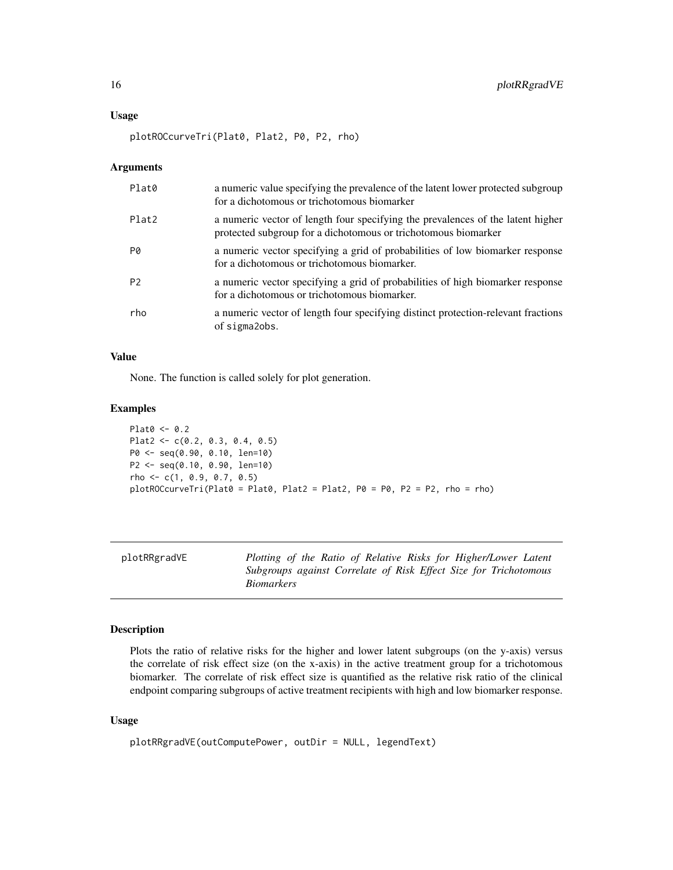#### <span id="page-15-0"></span>Usage

plotROCcurveTri(Plat0, Plat2, P0, P2, rho)

#### Arguments

| Plat0          | a numeric value specifying the prevalence of the latent lower protected subgroup<br>for a dichotomous or trichotomous biomarker                   |
|----------------|---------------------------------------------------------------------------------------------------------------------------------------------------|
| Plat2          | a numeric vector of length four specifying the prevalences of the latent higher<br>protected subgroup for a dichotomous or trichotomous biomarker |
| PØ             | a numeric vector specifying a grid of probabilities of low biomarker response<br>for a dichotomous or trichotomous biomarker.                     |
| P <sub>2</sub> | a numeric vector specifying a grid of probabilities of high biomarker response<br>for a dichotomous or trichotomous biomarker.                    |
| rho            | a numeric vector of length four specifying distinct protection-relevant fractions<br>of sigma2obs.                                                |

#### Value

None. The function is called solely for plot generation.

#### Examples

```
Plat0 <- 0.2
Plat2 <- c(0.2, 0.3, 0.4, 0.5)
P0 <- seq(0.90, 0.10, len=10)
P2 <- seq(0.10, 0.90, len=10)
rho <- c(1, 0.9, 0.7, 0.5)
plotROCcurveTri(Plat0 = Plat0, Plat2 = Plat2, P0 = P0, P2 = P2, rho = rho)
```
plotRRgradVE *Plotting of the Ratio of Relative Risks for Higher/Lower Latent Subgroups against Correlate of Risk Effect Size for Trichotomous Biomarkers*

#### Description

Plots the ratio of relative risks for the higher and lower latent subgroups (on the y-axis) versus the correlate of risk effect size (on the x-axis) in the active treatment group for a trichotomous biomarker. The correlate of risk effect size is quantified as the relative risk ratio of the clinical endpoint comparing subgroups of active treatment recipients with high and low biomarker response.

#### Usage

```
plotRRgradVE(outComputePower, outDir = NULL, legendText)
```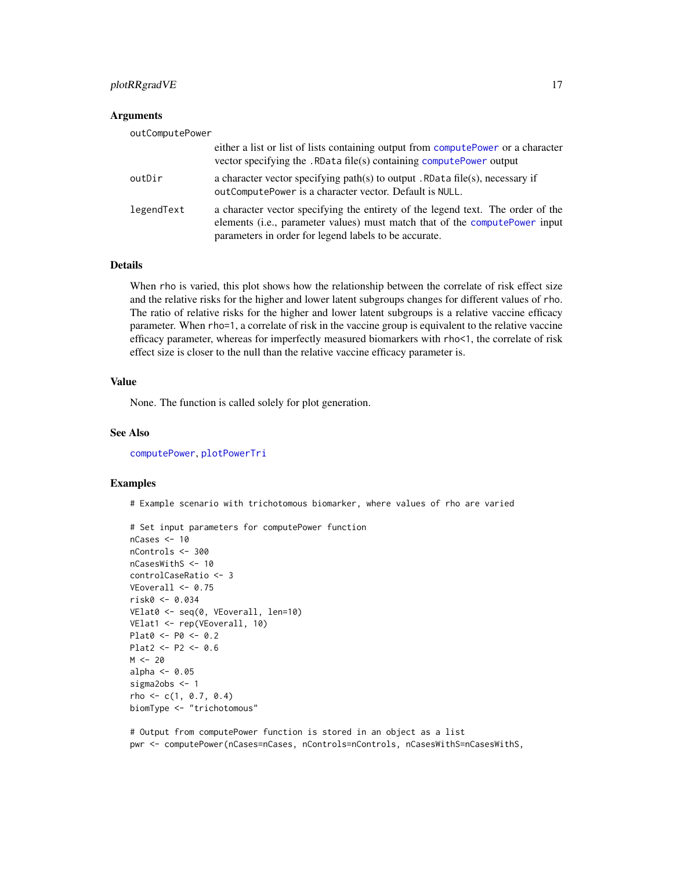#### <span id="page-16-0"></span>plotRRgradVE 17

#### **Arguments**

| outComputePower |                                                                                                                                                                                                                          |
|-----------------|--------------------------------------------------------------------------------------------------------------------------------------------------------------------------------------------------------------------------|
|                 | either a list or list of lists containing output from computePower or a character<br>vector specifying the . RData file(s) containing computePower output                                                                |
| outDir          | a character vector specifying path(s) to output . RData file(s), necessary if<br>outComputePower is a character vector. Default is NULL.                                                                                 |
| legendText      | a character vector specifying the entirety of the legend text. The order of the<br>elements (i.e., parameter values) must match that of the compute Power input<br>parameters in order for legend labels to be accurate. |

#### Details

When rho is varied, this plot shows how the relationship between the correlate of risk effect size and the relative risks for the higher and lower latent subgroups changes for different values of rho. The ratio of relative risks for the higher and lower latent subgroups is a relative vaccine efficacy parameter. When rho=1, a correlate of risk in the vaccine group is equivalent to the relative vaccine efficacy parameter, whereas for imperfectly measured biomarkers with rho<1, the correlate of risk effect size is closer to the null than the relative vaccine efficacy parameter is.

#### Value

None. The function is called solely for plot generation.

#### See Also

[computePower](#page-3-1), [plotPowerTri](#page-12-1)

#### Examples

# Example scenario with trichotomous biomarker, where values of rho are varied

```
# Set input parameters for computePower function
nCases <- 10
nControls <- 300
nCasesWithS <- 10
controlCaseRatio <- 3
VEoverall \leq 0.75risk0 <- 0.034
VElat0 <- seq(0, VEoverall, len=10)
VElat1 <- rep(VEoverall, 10)
Plat0 <- P0 <- 0.2
Plat2 <- P2 <- 0.6M < - 20alpha <- 0.05
sigma2obs <- 1
rho \leftarrow c(1, 0.7, 0.4)biomType <- "trichotomous"
```
# Output from computePower function is stored in an object as a list pwr <- computePower(nCases=nCases, nControls=nControls, nCasesWithS=nCasesWithS,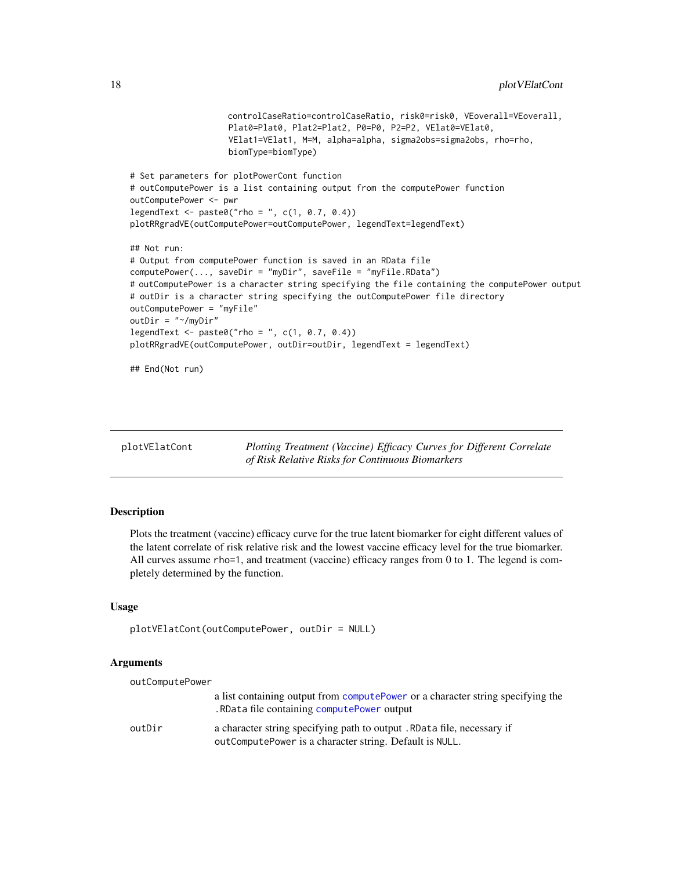```
controlCaseRatio=controlCaseRatio, risk0=risk0, VEoverall=VEoverall,
                    Plat0=Plat0, Plat2=Plat2, P0=P0, P2=P2, VElat0=VElat0,
                    VElat1=VElat1, M=M, alpha=alpha, sigma2obs=sigma2obs, rho=rho,
                    biomType=biomType)
# Set parameters for plotPowerCont function
# outComputePower is a list containing output from the computePower function
outComputePower <- pwr
legent < -</math> paste@("rho = ", c(1, 0.7, 0.4))plotRRgradVE(outComputePower=outComputePower, legendText=legendText)
## Not run:
# Output from computePower function is saved in an RData file
computePower(..., saveDir = "myDir", saveFile = "myFile.RData")
# outComputePower is a character string specifying the file containing the computePower output
# outDir is a character string specifying the outComputePower file directory
outComputePower = "myFile"
outDir = "~/myDir"
legendText <- paste0("rho = ", c(1, 0.7, 0.4))
plotRRgradVE(outComputePower, outDir=outDir, legendText = legendText)
## End(Not run)
```
<span id="page-17-1"></span>

| plotVElatCont | Plotting Treatment (Vaccine) Efficacy Curves for Different Correlate |
|---------------|----------------------------------------------------------------------|
|               | of Risk Relative Risks for Continuous Biomarkers                     |

#### Description

Plots the treatment (vaccine) efficacy curve for the true latent biomarker for eight different values of the latent correlate of risk relative risk and the lowest vaccine efficacy level for the true biomarker. All curves assume rho=1, and treatment (vaccine) efficacy ranges from 0 to 1. The legend is completely determined by the function.

#### Usage

```
plotVElatCont(outComputePower, outDir = NULL)
```
#### Arguments

| outComputePower |                                                                                                                                   |
|-----------------|-----------------------------------------------------------------------------------------------------------------------------------|
|                 | a list containing output from computePower or a character string specifying the<br>.RData file containing computePower output     |
| outDir          | a character string specifying path to output. RData file, necessary if<br>outComputePower is a character string. Default is NULL. |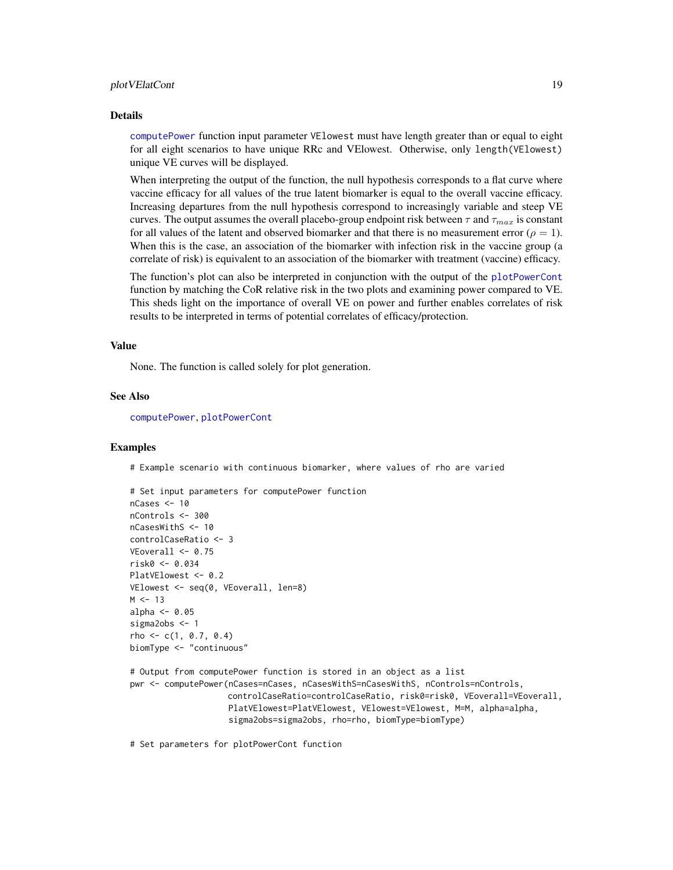#### <span id="page-18-0"></span>plotVElatCont 19

#### Details

[computePower](#page-3-1) function input parameter VElowest must have length greater than or equal to eight for all eight scenarios to have unique RRc and VElowest. Otherwise, only length(VElowest) unique VE curves will be displayed.

When interpreting the output of the function, the null hypothesis corresponds to a flat curve where vaccine efficacy for all values of the true latent biomarker is equal to the overall vaccine efficacy. Increasing departures from the null hypothesis correspond to increasingly variable and steep VE curves. The output assumes the overall placebo-group endpoint risk between  $\tau$  and  $\tau_{max}$  is constant for all values of the latent and observed biomarker and that there is no measurement error ( $\rho = 1$ ). When this is the case, an association of the biomarker with infection risk in the vaccine group (a correlate of risk) is equivalent to an association of the biomarker with treatment (vaccine) efficacy.

The function's plot can also be interpreted in conjunction with the output of the [plotPowerCont](#page-11-1) function by matching the CoR relative risk in the two plots and examining power compared to VE. This sheds light on the importance of overall VE on power and further enables correlates of risk results to be interpreted in terms of potential correlates of efficacy/protection.

#### Value

None. The function is called solely for plot generation.

#### See Also

[computePower](#page-3-1), [plotPowerCont](#page-11-1)

#### Examples

# Example scenario with continuous biomarker, where values of rho are varied

```
# Set input parameters for computePower function
nCases <- 10
nControls <- 300
nCasesWithS <- 10
controlCaseRatio <- 3
VEoverall <- 0.75
risk0 <- 0.034
PlatVElowest <- 0.2
VElowest <- seq(0, VEoverall, len=8)
M < - 13alpha <-0.05sigma2obs <- 1
rho \leftarrow c(1, 0.7, 0.4)biomType <- "continuous"
```
# Output from computePower function is stored in an object as a list pwr <- computePower(nCases=nCases, nCasesWithS=nCasesWithS, nControls=nControls, controlCaseRatio=controlCaseRatio, risk0=risk0, VEoverall=VEoverall, PlatVElowest=PlatVElowest, VElowest=VElowest, M=M, alpha=alpha, sigma2obs=sigma2obs, rho=rho, biomType=biomType)

# Set parameters for plotPowerCont function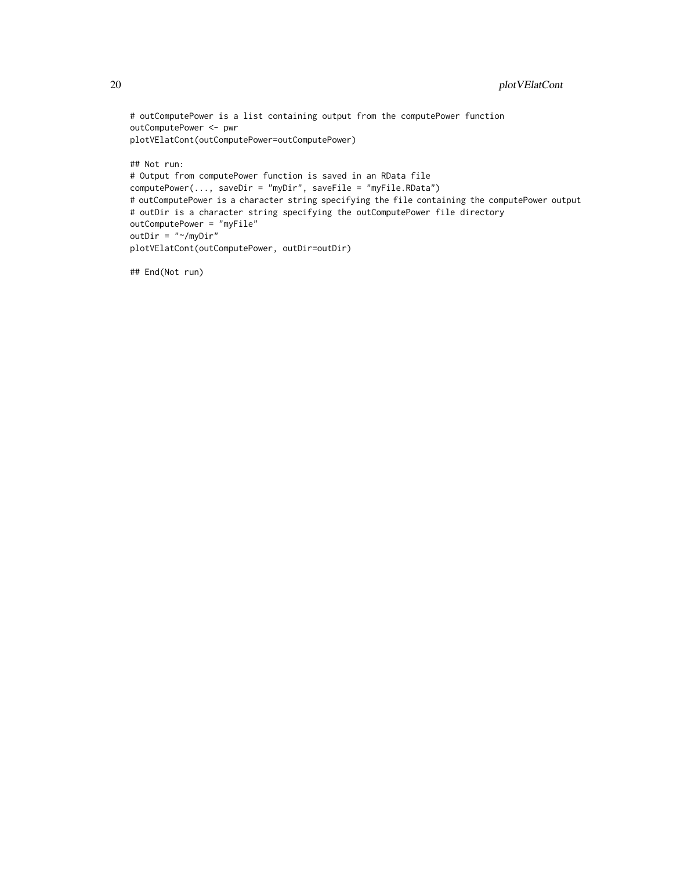```
# outComputePower is a list containing output from the computePower function
outComputePower <- pwr
plotVElatCont(outComputePower=outComputePower)
## Not run:
# Output from computePower function is saved in an RData file
computePower(..., saveDir = "myDir", saveFile = "myFile.RData")
# outComputePower is a character string specifying the file containing the computePower output
# outDir is a character string specifying the outComputePower file directory
outComputePower = "myFile"
outDir = "~/myDir"
plotVElatCont(outComputePower, outDir=outDir)
```
## End(Not run)